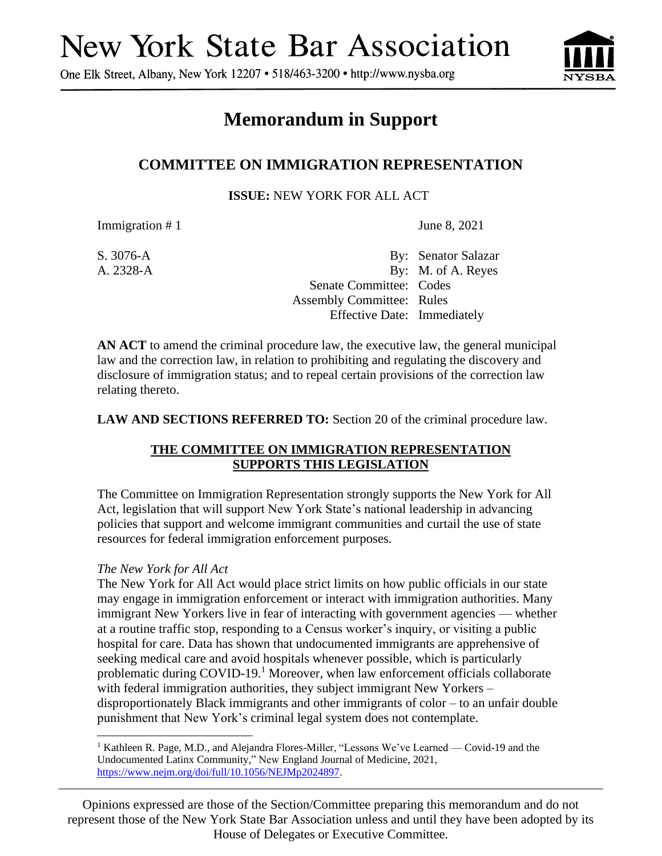# **New York State Bar Association**

One Elk Street, Albany, New York 12207 • 518/463-3200 • http://www.nysba.org



# **Memorandum in Support**

## **COMMITTEE ON IMMIGRATION REPRESENTATION**

**ISSUE:** NEW YORK FOR ALL ACT

Immigration # 1 June 8, 2021

S. 3076-A By: Senator Salazar A. 2328-A By: M. of A. Reyes Senate Committee: Codes Assembly Committee: Rules Effective Date: Immediately

**AN ACT** to amend the criminal procedure law, the executive law, the general municipal law and the correction law, in relation to prohibiting and regulating the discovery and disclosure of immigration status; and to repeal certain provisions of the correction law relating thereto.

**LAW AND SECTIONS REFERRED TO:** Section 20 of the criminal procedure law.

### **THE COMMITTEE ON IMMIGRATION REPRESENTATION SUPPORTS THIS LEGISLATION**

The Committee on Immigration Representation strongly supports the New York for All Act, legislation that will support New York State's national leadership in advancing policies that support and welcome immigrant communities and curtail the use of state resources for federal immigration enforcement purposes.

### *The New York for All Act*

The New York for All Act would place strict limits on how public officials in our state may engage in immigration enforcement or interact with immigration authorities. Many immigrant New Yorkers live in fear of interacting with government agencies — whether at a routine traffic stop, responding to a Census worker's inquiry, or visiting a public hospital for care. Data has shown that undocumented immigrants are apprehensive of seeking medical care and avoid hospitals whenever possible, which is particularly problematic during COVID-19.<sup>1</sup> Moreover, when law enforcement officials collaborate with federal immigration authorities, they subject immigrant New Yorkers – disproportionately Black immigrants and other immigrants of color – to an unfair double punishment that New York's criminal legal system does not contemplate.

Opinions expressed are those of the Section/Committee preparing this memorandum and do not represent those of the New York State Bar Association unless and until they have been adopted by its House of Delegates or Executive Committee.

<sup>&</sup>lt;sup>1</sup> Kathleen R. Page, M.D., and Alejandra Flores-Miller, "Lessons We've Learned — Covid-19 and the Undocumented Latinx Community," New England Journal of Medicine, 2021, [https://www.nejm.org/doi/full/10.1056/NEJMp2024897.](https://www.nejm.org/doi/full/10.1056/NEJMp2024897)